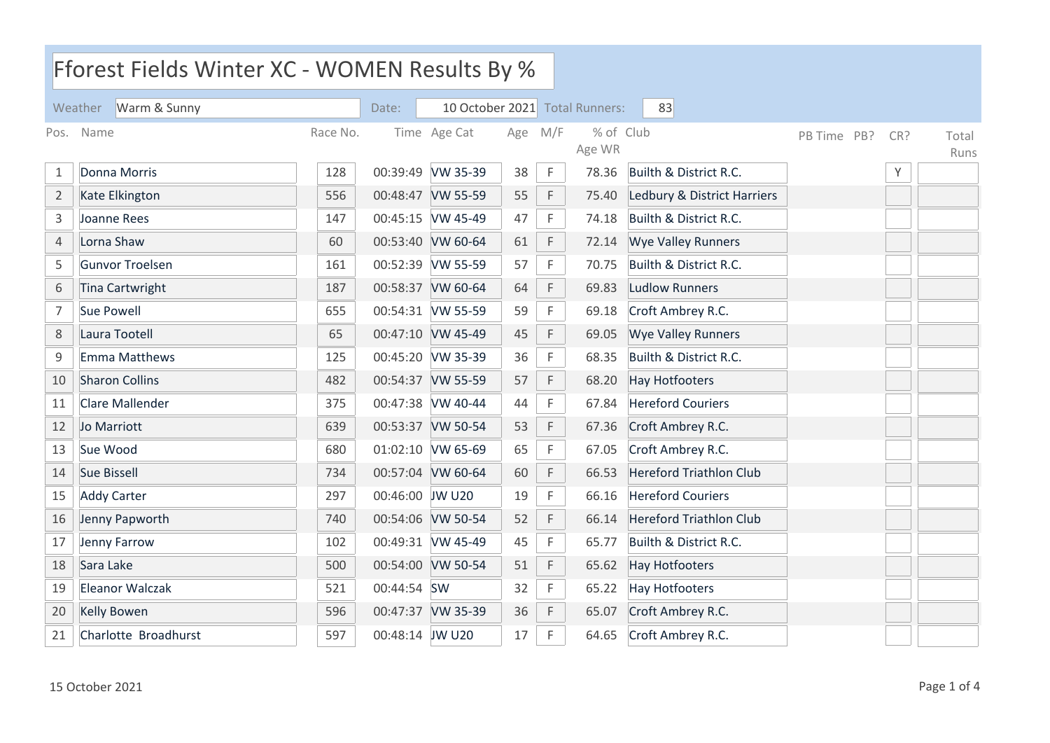| Fforest Fields Winter XC - WOMEN Results By % |                         |     |                 |                   |     |             |                                |                                |             |     |               |
|-----------------------------------------------|-------------------------|-----|-----------------|-------------------|-----|-------------|--------------------------------|--------------------------------|-------------|-----|---------------|
|                                               | Warm & Sunny<br>Weather |     | Date:           |                   |     |             | 10 October 2021 Total Runners: | 83                             |             |     |               |
| Name<br>Race No.<br>Pos.                      |                         |     |                 | Time Age Cat      | Age | M/F         | % of Club<br>Age WR            |                                | PB Time PB? | CR? | Total<br>Runs |
| $\mathbf{1}$                                  | Donna Morris            | 128 |                 | 00:39:49 VW 35-39 | 38  | $\mathsf F$ | 78.36                          | Builth & District R.C.         |             | Υ   |               |
| $\overline{2}$                                | <b>Kate Elkington</b>   | 556 |                 | 00:48:47 VW 55-59 | 55  | $\mathsf F$ | 75.40                          | Ledbury & District Harriers    |             |     |               |
| $\mathsf{3}$                                  | Joanne Rees             | 147 |                 | 00:45:15 VW 45-49 | 47  | F           | 74.18                          | Builth & District R.C.         |             |     |               |
| $\overline{4}$                                | Lorna Shaw              | 60  |                 | 00:53:40 VW 60-64 | 61  | $\mathsf F$ | 72.14                          | <b>Wye Valley Runners</b>      |             |     |               |
| 5                                             | <b>Gunvor Troelsen</b>  | 161 |                 | 00:52:39 VW 55-59 | 57  | $\mathsf F$ | 70.75                          | Builth & District R.C.         |             |     |               |
| 6                                             | Tina Cartwright         | 187 |                 | 00:58:37 VW 60-64 | 64  | F           | 69.83                          | <b>Ludlow Runners</b>          |             |     |               |
| $\overline{7}$                                | Sue Powell              | 655 |                 | 00:54:31 VW 55-59 | 59  | F           | 69.18                          | Croft Ambrey R.C.              |             |     |               |
| 8                                             | Laura Tootell           | 65  |                 | 00:47:10 VW 45-49 | 45  | $\mathsf F$ | 69.05                          | <b>Wye Valley Runners</b>      |             |     |               |
| $\mathsf 9$                                   | Emma Matthews           | 125 |                 | 00:45:20 VW 35-39 | 36  | F           | 68.35                          | Builth & District R.C.         |             |     |               |
| 10                                            | <b>Sharon Collins</b>   | 482 |                 | 00:54:37 VW 55-59 | 57  | F           | 68.20                          | <b>Hay Hotfooters</b>          |             |     |               |
| 11                                            | Clare Mallender         | 375 |                 | 00:47:38 VW 40-44 | 44  | $\mathsf F$ | 67.84                          | <b>Hereford Couriers</b>       |             |     |               |
| 12                                            | Jo Marriott             | 639 |                 | 00:53:37 VW 50-54 | 53  | $\mathsf F$ | 67.36                          | Croft Ambrey R.C.              |             |     |               |
| 13                                            | Sue Wood                | 680 |                 | 01:02:10 VW 65-69 | 65  | $\mathsf F$ | 67.05                          | Croft Ambrey R.C.              |             |     |               |
| 14                                            | Sue Bissell             | 734 |                 | 00:57:04 VW 60-64 | 60  | F           | 66.53                          | <b>Hereford Triathlon Club</b> |             |     |               |
| 15                                            | <b>Addy Carter</b>      | 297 | 00:46:00 JW U20 |                   | 19  | F           | 66.16                          | <b>Hereford Couriers</b>       |             |     |               |
| 16                                            | Jenny Papworth          | 740 |                 | 00:54:06 VW 50-54 | 52  | $\mathsf F$ | 66.14                          | <b>Hereford Triathlon Club</b> |             |     |               |
| 17                                            | Jenny Farrow            | 102 |                 | 00:49:31 VW 45-49 | 45  | F           | 65.77                          | Builth & District R.C.         |             |     |               |
| 18                                            | Sara Lake               | 500 |                 | 00:54:00 VW 50-54 | 51  | $\mathsf F$ | 65.62                          | <b>Hay Hotfooters</b>          |             |     |               |
| 19                                            | Eleanor Walczak         | 521 | 00:44:54 SW     |                   | 32  | F           | 65.22                          | <b>Hay Hotfooters</b>          |             |     |               |
| 20                                            | <b>Kelly Bowen</b>      | 596 |                 | 00:47:37 VW 35-39 | 36  | $\mathsf F$ | 65.07                          | Croft Ambrey R.C.              |             |     |               |
| 21                                            | Charlotte Broadhurst    | 597 | 00:48:14 JW U20 |                   | 17  | F           | 64.65                          | Croft Ambrey R.C.              |             |     |               |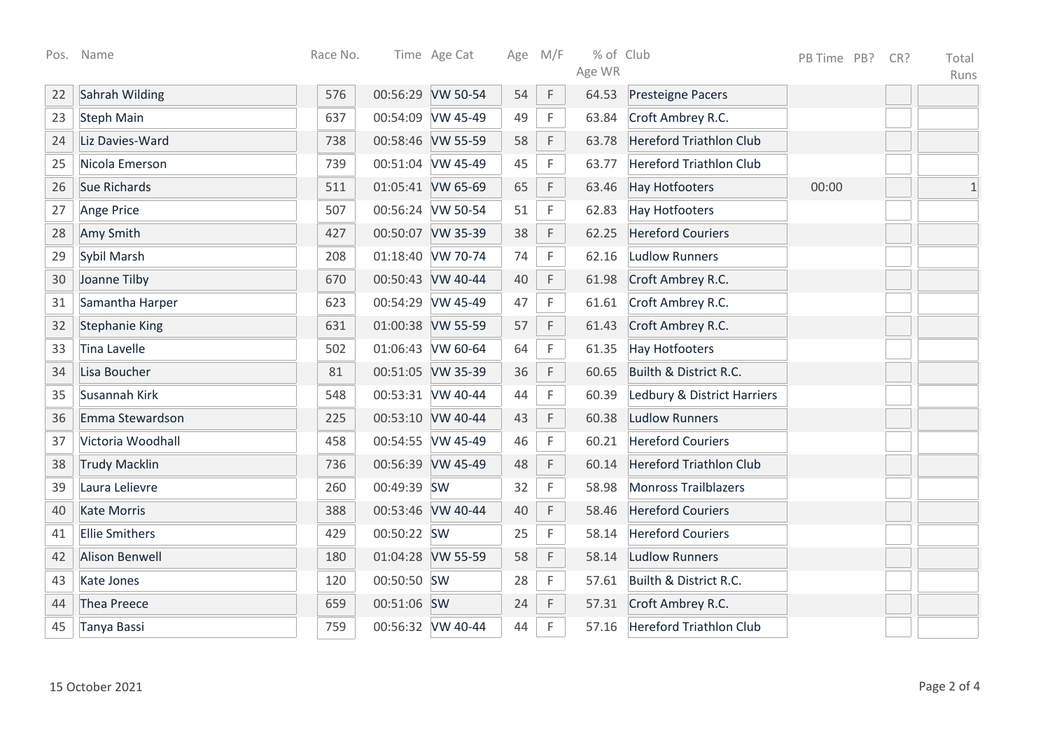| Pos. | Name                  | Race No. |             | Time Age Cat      |    | Age M/F     | % of Club |                                | PB Time PB? | CR? | Total        |
|------|-----------------------|----------|-------------|-------------------|----|-------------|-----------|--------------------------------|-------------|-----|--------------|
|      |                       |          |             |                   |    |             | Age WR    |                                |             |     | Runs         |
| 22   | Sahrah Wilding        | 576      |             | 00:56:29 VW 50-54 | 54 | $\mathsf F$ | 64.53     | <b>Presteigne Pacers</b>       |             |     |              |
| 23   | <b>Steph Main</b>     | 637      |             | 00:54:09 VW 45-49 | 49 | F           | 63.84     | Croft Ambrey R.C.              |             |     |              |
| 24   | Liz Davies-Ward       | 738      |             | 00:58:46 VW 55-59 | 58 | F           | 63.78     | <b>Hereford Triathlon Club</b> |             |     |              |
| 25   | Nicola Emerson        | 739      |             | 00:51:04 VW 45-49 | 45 | $\mathsf F$ | 63.77     | <b>Hereford Triathlon Club</b> |             |     |              |
| 26   | Sue Richards          | 511      |             | 01:05:41 VW 65-69 | 65 | $\mathsf F$ | 63.46     | <b>Hay Hotfooters</b>          | 00:00       |     | $\mathbf{1}$ |
| 27   | Ange Price            | 507      |             | 00:56:24 VW 50-54 | 51 | $\mathsf F$ | 62.83     | <b>Hay Hotfooters</b>          |             |     |              |
| 28   | Amy Smith             | 427      |             | 00:50:07 VW 35-39 | 38 | F           | 62.25     | <b>Hereford Couriers</b>       |             |     |              |
| 29   | Sybil Marsh           | 208      |             | 01:18:40 VW 70-74 | 74 | $\mathsf F$ | 62.16     | <b>Ludlow Runners</b>          |             |     |              |
| 30   | Joanne Tilby          | 670      |             | 00:50:43 VW 40-44 | 40 | $\mathsf F$ | 61.98     | Croft Ambrey R.C.              |             |     |              |
| 31   | Samantha Harper       | 623      |             | 00:54:29 VW 45-49 | 47 | $\mathsf F$ | 61.61     | Croft Ambrey R.C.              |             |     |              |
| 32   | <b>Stephanie King</b> | 631      |             | 01:00:38 VW 55-59 | 57 | $\mathsf F$ | 61.43     | Croft Ambrey R.C.              |             |     |              |
| 33   | Tina Lavelle          | 502      |             | 01:06:43 VW 60-64 | 64 | F           | 61.35     | <b>Hay Hotfooters</b>          |             |     |              |
| 34   | Lisa Boucher          | 81       |             | 00:51:05 VW 35-39 | 36 | F           | 60.65     | Builth & District R.C.         |             |     |              |
| 35   | Susannah Kirk         | 548      |             | 00:53:31 VW 40-44 | 44 | F           | 60.39     | Ledbury & District Harriers    |             |     |              |
| 36   | Emma Stewardson       | 225      |             | 00:53:10 VW 40-44 | 43 | F           | 60.38     | <b>Ludlow Runners</b>          |             |     |              |
| 37   | Victoria Woodhall     | 458      |             | 00:54:55 VW 45-49 | 46 | F           | 60.21     | <b>Hereford Couriers</b>       |             |     |              |
| 38   | <b>Trudy Macklin</b>  | 736      |             | 00:56:39 VW 45-49 | 48 | $\mathsf F$ | 60.14     | <b>Hereford Triathlon Club</b> |             |     |              |
| 39   | Laura Lelievre        | 260      | 00:49:39 SW |                   | 32 | F           | 58.98     | <b>Monross Trailblazers</b>    |             |     |              |
| 40   | <b>Kate Morris</b>    | 388      |             | 00:53:46 VW 40-44 | 40 | $\mathsf F$ | 58.46     | <b>Hereford Couriers</b>       |             |     |              |
| 41   | <b>Ellie Smithers</b> | 429      | 00:50:22 SW |                   | 25 | $\mathsf F$ | 58.14     | <b>Hereford Couriers</b>       |             |     |              |
| 42   | <b>Alison Benwell</b> | 180      |             | 01:04:28 VW 55-59 | 58 | F           | 58.14     | <b>Ludlow Runners</b>          |             |     |              |
| 43   | <b>Kate Jones</b>     | 120      | 00:50:50 SW |                   | 28 | F           | 57.61     | Builth & District R.C.         |             |     |              |
| 44   | Thea Preece           | 659      | 00:51:06 SW |                   | 24 | F           | 57.31     | Croft Ambrey R.C.              |             |     |              |
| 45   | Tanya Bassi           | 759      |             | 00:56:32 VW 40-44 | 44 | F           | 57.16     | <b>Hereford Triathlon Club</b> |             |     |              |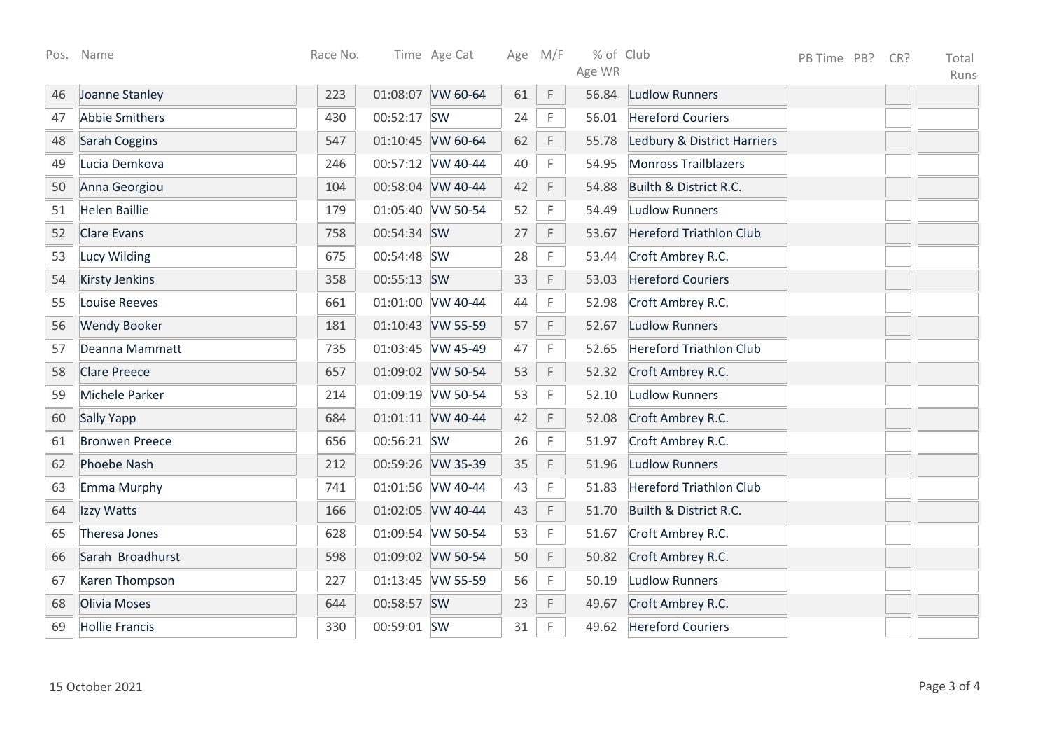| Pos. | Name                  | Race No. |             | Time Age Cat      |    | Age M/F     | % of Club<br>Age WR |                                | PB Time PB? | CR? | Total<br>Runs |
|------|-----------------------|----------|-------------|-------------------|----|-------------|---------------------|--------------------------------|-------------|-----|---------------|
| 46   | Joanne Stanley        | 223      |             | 01:08:07 VW 60-64 | 61 | $\mathsf F$ | 56.84               | <b>Ludlow Runners</b>          |             |     |               |
| 47   | <b>Abbie Smithers</b> | 430      | 00:52:17 SW |                   | 24 | $\mathsf F$ | 56.01               | <b>Hereford Couriers</b>       |             |     |               |
| 48   | Sarah Coggins         | 547      |             | 01:10:45 VW 60-64 | 62 | $\mathsf F$ | 55.78               | Ledbury & District Harriers    |             |     |               |
| 49   | Lucia Demkova         | 246      |             | 00:57:12 VW 40-44 | 40 | F           | 54.95               | <b>Monross Trailblazers</b>    |             |     |               |
| 50   | Anna Georgiou         | 104      |             | 00:58:04 VW 40-44 | 42 | F           | 54.88               | Builth & District R.C.         |             |     |               |
| 51   | <b>Helen Baillie</b>  | 179      |             | 01:05:40 VW 50-54 | 52 | $\mathsf F$ | 54.49               | <b>Ludlow Runners</b>          |             |     |               |
| 52   | <b>Clare Evans</b>    | 758      | 00:54:34 SW |                   | 27 | F           | 53.67               | <b>Hereford Triathlon Club</b> |             |     |               |
| 53   | Lucy Wilding          | 675      | 00:54:48 SW |                   | 28 | F           | 53.44               | Croft Ambrey R.C.              |             |     |               |
| 54   | <b>Kirsty Jenkins</b> | 358      | 00:55:13 SW |                   | 33 | F           | 53.03               | <b>Hereford Couriers</b>       |             |     |               |
| 55   | <b>Louise Reeves</b>  | 661      |             | 01:01:00 VW 40-44 | 44 | F           | 52.98               | Croft Ambrey R.C.              |             |     |               |
| 56   | <b>Wendy Booker</b>   | 181      |             | 01:10:43 VW 55-59 | 57 | $\mathsf F$ | 52.67               | <b>Ludlow Runners</b>          |             |     |               |
| 57   | Deanna Mammatt        | 735      |             | 01:03:45 VW 45-49 | 47 | $\mathsf F$ | 52.65               | <b>Hereford Triathlon Club</b> |             |     |               |
| 58   | <b>Clare Preece</b>   | 657      |             | 01:09:02 VW 50-54 | 53 | $\mathsf F$ | 52.32               | Croft Ambrey R.C.              |             |     |               |
| 59   | Michele Parker        | 214      |             | 01:09:19 VW 50-54 | 53 | F           | 52.10               | <b>Ludlow Runners</b>          |             |     |               |
| 60   | Sally Yapp            | 684      |             | 01:01:11 VW 40-44 | 42 | $\mathsf F$ | 52.08               | Croft Ambrey R.C.              |             |     |               |
| 61   | <b>Bronwen Preece</b> | 656      | 00:56:21 SW |                   | 26 | F           | 51.97               | Croft Ambrey R.C.              |             |     |               |
| 62   | <b>Phoebe Nash</b>    | 212      |             | 00:59:26 VW 35-39 | 35 | F           | 51.96               | <b>Ludlow Runners</b>          |             |     |               |
| 63   | Emma Murphy           | 741      |             | 01:01:56 VW 40-44 | 43 | F           | 51.83               | <b>Hereford Triathlon Club</b> |             |     |               |
| 64   | Izzy Watts            | 166      |             | 01:02:05 VW 40-44 | 43 | $\mathsf F$ | 51.70               | Builth & District R.C.         |             |     |               |
| 65   | Theresa Jones         | 628      |             | 01:09:54 VW 50-54 | 53 | $\mathsf F$ | 51.67               | Croft Ambrey R.C.              |             |     |               |
| 66   | Sarah Broadhurst      | 598      |             | 01:09:02 VW 50-54 | 50 | $\mathsf F$ | 50.82               | Croft Ambrey R.C.              |             |     |               |
| 67   | Karen Thompson        | 227      |             | 01:13:45 VW 55-59 | 56 | $\mathsf F$ | 50.19               | <b>Ludlow Runners</b>          |             |     |               |
| 68   | Olivia Moses          | 644      | 00:58:57 SW |                   | 23 | $\mathsf F$ | 49.67               | Croft Ambrey R.C.              |             |     |               |
| 69   | <b>Hollie Francis</b> | 330      | 00:59:01 SW |                   | 31 | $\mathsf F$ | 49.62               | <b>Hereford Couriers</b>       |             |     |               |